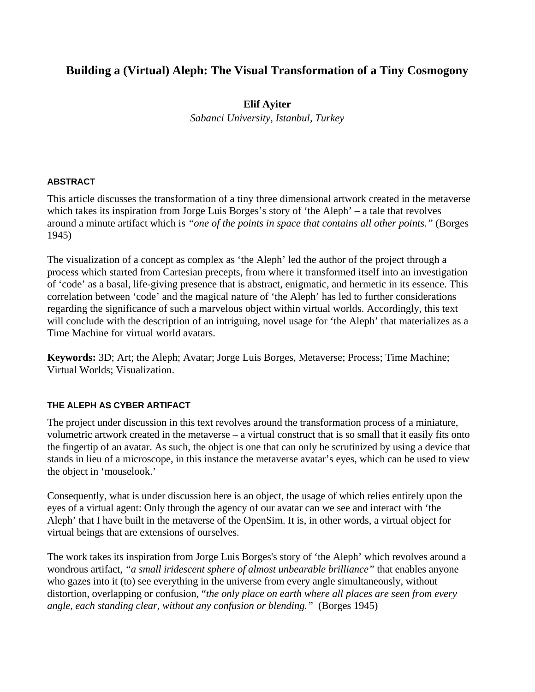# **Building a (Virtual) Aleph: The Visual Transformation of a Tiny Cosmogony**

**Elif Ayiter** *Sabanci University, Istanbul, Turkey*

## **ABSTRACT**

This article discusses the transformation of a tiny three dimensional artwork created in the metaverse which takes its inspiration from Jorge Luis Borges's story of 'the Aleph' – a tale that revolves around a minute artifact which is *"one of the points in space that contains all other points."* (Borges 1945)

The visualization of a concept as complex as 'the Aleph' led the author of the project through a process which started from Cartesian precepts, from where it transformed itself into an investigation of 'code' as a basal, life-giving presence that is abstract, enigmatic, and hermetic in its essence. This correlation between 'code' and the magical nature of 'the Aleph' has led to further considerations regarding the significance of such a marvelous object within virtual worlds. Accordingly, this text will conclude with the description of an intriguing, novel usage for 'the Aleph' that materializes as a Time Machine for virtual world avatars.

**Keywords:** 3D; Art; the Aleph; Avatar; Jorge Luis Borges, Metaverse; Process; Time Machine; Virtual Worlds; Visualization.

## **THE ALEPH AS CYBER ARTIFACT**

The project under discussion in this text revolves around the transformation process of a miniature, volumetric artwork created in the metaverse – a virtual construct that is so small that it easily fits onto the fingertip of an avatar. As such, the object is one that can only be scrutinized by using a device that stands in lieu of a microscope, in this instance the metaverse avatar's eyes, which can be used to view the object in 'mouselook.'

Consequently, what is under discussion here is an object, the usage of which relies entirely upon the eyes of a virtual agent: Only through the agency of our avatar can we see and interact with 'the Aleph' that I have built in the metaverse of the OpenSim. It is, in other words, a virtual object for virtual beings that are extensions of ourselves.

The work takes its inspiration from Jorge Luis Borges's story of 'the Aleph' which revolves around a wondrous artifact, *"a small iridescent sphere of almost unbearable brilliance"* that enables anyone who gazes into it (to) see everything in the universe from every angle simultaneously, without distortion, overlapping or confusion, "*the only place on earth where all places are seen from every angle, each standing clear, without any confusion or blending."* (Borges 1945)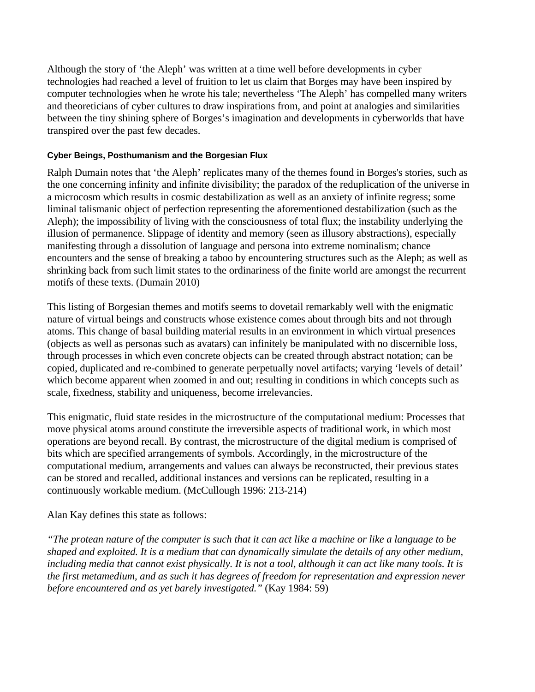Although the story of 'the Aleph' was written at a time well before developments in cyber technologies had reached a level of fruition to let us claim that Borges may have been inspired by computer technologies when he wrote his tale; nevertheless 'The Aleph' has compelled many writers and theoreticians of cyber cultures to draw inspirations from, and point at analogies and similarities between the tiny shining sphere of Borges's imagination and developments in cyberworlds that have transpired over the past few decades.

## **Cyber Beings, Posthumanism and the Borgesian Flux**

Ralph Dumain notes that 'the Aleph' replicates many of the themes found in Borges's stories, such as the one concerning infinity and infinite divisibility; the paradox of the reduplication of the universe in a microcosm which results in cosmic destabilization as well as an anxiety of infinite regress; some liminal talismanic object of perfection representing the aforementioned destabilization (such as the Aleph); the impossibility of living with the consciousness of total flux; the instability underlying the illusion of permanence. Slippage of identity and memory (seen as illusory abstractions), especially manifesting through a dissolution of language and persona into extreme nominalism; chance encounters and the sense of breaking a taboo by encountering structures such as the Aleph; as well as shrinking back from such limit states to the ordinariness of the finite world are amongst the recurrent motifs of these texts. (Dumain 2010)

This listing of Borgesian themes and motifs seems to dovetail remarkably well with the enigmatic nature of virtual beings and constructs whose existence comes about through bits and not through atoms. This change of basal building material results in an environment in which virtual presences (objects as well as personas such as avatars) can infinitely be manipulated with no discernible loss, through processes in which even concrete objects can be created through abstract notation; can be copied, duplicated and re-combined to generate perpetually novel artifacts; varying 'levels of detail' which become apparent when zoomed in and out; resulting in conditions in which concepts such as scale, fixedness, stability and uniqueness, become irrelevancies.

This enigmatic, fluid state resides in the microstructure of the computational medium: Processes that move physical atoms around constitute the irreversible aspects of traditional work, in which most operations are beyond recall. By contrast, the microstructure of the digital medium is comprised of bits which are specified arrangements of symbols. Accordingly, in the microstructure of the computational medium, arrangements and values can always be reconstructed, their previous states can be stored and recalled, additional instances and versions can be replicated, resulting in a continuously workable medium. (McCullough 1996: 213-214)

Alan Kay defines this state as follows:

*"The protean nature of the computer is such that it can act like a machine or like a language to be shaped and exploited. It is a medium that can dynamically simulate the details of any other medium, including media that cannot exist physically. It is not a tool, although it can act like many tools. It is the first metamedium, and as such it has degrees of freedom for representation and expression never before encountered and as yet barely investigated."* (Kay 1984: 59)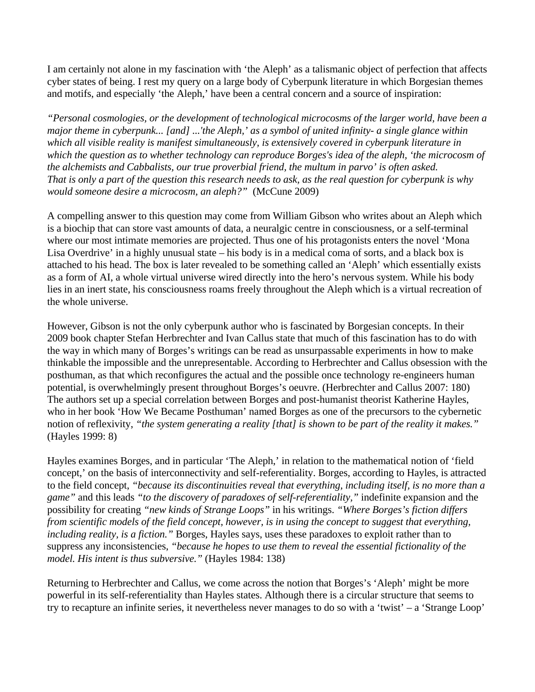I am certainly not alone in my fascination with 'the Aleph' as a talismanic object of perfection that affects cyber states of being. I rest my query on a large body of Cyberpunk literature in which Borgesian themes and motifs, and especially 'the Aleph,' have been a central concern and a source of inspiration:

*"Personal cosmologies, or the development of technological microcosms of the larger world, have been a major theme in cyberpunk... [and] ...'the Aleph,' as a symbol of united infinity- a single glance within which all visible reality is manifest simultaneously, is extensively covered in cyberpunk literature in which the question as to whether technology can reproduce Borges's idea of the aleph, 'the microcosm of the alchemists and Cabbalists, our true proverbial friend, the multum in parvo' is often asked. That is only a part of the question this research needs to ask, as the real question for cyberpunk is why would someone desire a microcosm, an aleph?"* (McCune 2009)

A compelling answer to this question may come from William Gibson who writes about an Aleph which is a biochip that can store vast amounts of data, a neuralgic centre in consciousness, or a self-terminal where our most intimate memories are projected. Thus one of his protagonists enters the novel 'Mona Lisa Overdrive' in a highly unusual state – his body is in a medical coma of sorts, and a black box is attached to his head. The box is later revealed to be something called an 'Aleph' which essentially exists as a form of AI, a whole virtual universe wired directly into the hero's nervous system. While his body lies in an inert state, his consciousness roams freely throughout the Aleph which is a virtual recreation of the whole universe.

However, Gibson is not the only cyberpunk author who is fascinated by Borgesian concepts. In their 2009 book chapter Stefan Herbrechter and Ivan Callus state that much of this fascination has to do with the way in which many of Borges's writings can be read as unsurpassable experiments in how to make thinkable the impossible and the unrepresentable. According to Herbrechter and Callus obsession with the posthuman, as that which reconfigures the actual and the possible once technology re-engineers human potential, is overwhelmingly present throughout Borges's oeuvre. (Herbrechter and Callus 2007: 180) The authors set up a special correlation between Borges and post-humanist theorist Katherine Hayles, who in her book 'How We Became Posthuman' named Borges as one of the precursors to the cybernetic notion of reflexivity, *"the system generating a reality [that] is shown to be part of the reality it makes."* (Hayles 1999: 8)

Hayles examines Borges, and in particular 'The Aleph,' in relation to the mathematical notion of 'field concept,' on the basis of interconnectivity and self-referentiality. Borges, according to Hayles, is attracted to the field concept, *"because its discontinuities reveal that everything, including itself, is no more than a game"* and this leads *"to the discovery of paradoxes of self-referentiality,"* indefinite expansion and the possibility for creating *"new kinds of Strange Loops"* in his writings. *"Where Borges's fiction differs from scientific models of the field concept, however, is in using the concept to suggest that everything, including reality, is a fiction."* Borges, Hayles says, uses these paradoxes to exploit rather than to suppress any inconsistencies, *"because he hopes to use them to reveal the essential fictionality of the model. His intent is thus subversive."* (Hayles 1984: 138)

Returning to Herbrechter and Callus, we come across the notion that Borges's 'Aleph' might be more powerful in its self-referentiality than Hayles states. Although there is a circular structure that seems to try to recapture an infinite series, it nevertheless never manages to do so with a 'twist' – a 'Strange Loop'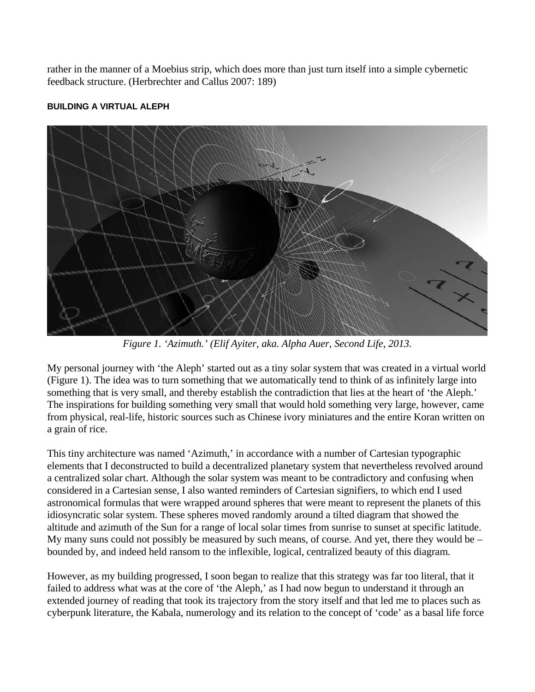rather in the manner of a Moebius strip, which does more than just turn itself into a simple cybernetic feedback structure. (Herbrechter and Callus 2007: 189)

# **BUILDING A VIRTUAL ALEPH**



*Figure 1. 'Azimuth.' (Elif Ayiter, aka. Alpha Auer, Second Life, 2013.*

My personal journey with 'the Aleph' started out as a tiny solar system that was created in a virtual world (Figure 1). The idea was to turn something that we automatically tend to think of as infinitely large into something that is very small, and thereby establish the contradiction that lies at the heart of 'the Aleph.' The inspirations for building something very small that would hold something very large, however, came from physical, real-life, historic sources such as Chinese ivory miniatures and the entire Koran written on a grain of rice.

This tiny architecture was named 'Azimuth,' in accordance with a number of Cartesian typographic elements that I deconstructed to build a decentralized planetary system that nevertheless revolved around a centralized solar chart. Although the solar system was meant to be contradictory and confusing when considered in a Cartesian sense, I also wanted reminders of Cartesian signifiers, to which end I used astronomical formulas that were wrapped around spheres that were meant to represent the planets of this idiosyncratic solar system. These spheres moved randomly around a tilted diagram that showed the altitude and azimuth of the Sun for a range of local solar times from sunrise to sunset at specific latitude. My many suns could not possibly be measured by such means, of course. And yet, there they would be  $$ bounded by, and indeed held ransom to the inflexible, logical, centralized beauty of this diagram.

However, as my building progressed, I soon began to realize that this strategy was far too literal, that it failed to address what was at the core of 'the Aleph,' as I had now begun to understand it through an extended journey of reading that took its trajectory from the story itself and that led me to places such as cyberpunk literature, the Kabala, numerology and its relation to the concept of 'code' as a basal life force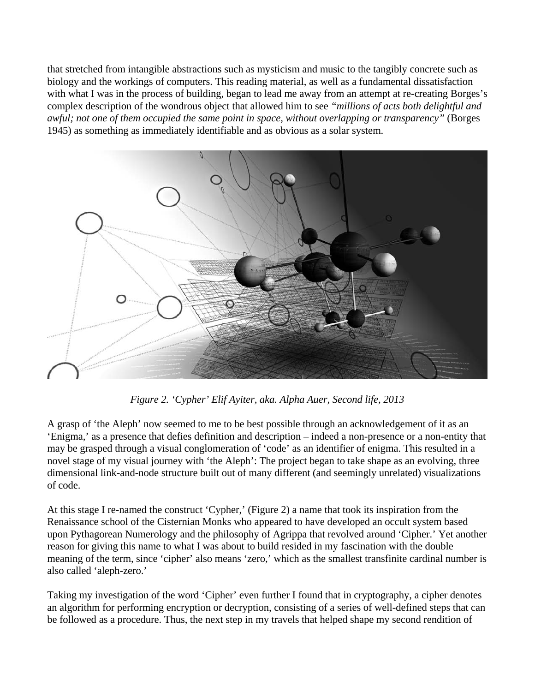that stretched from intangible abstractions such as mysticism and music to the tangibly concrete such as biology and the workings of computers. This reading material, as well as a fundamental dissatisfaction with what I was in the process of building, began to lead me away from an attempt at re-creating Borges's complex description of the wondrous object that allowed him to see *"millions of acts both delightful and awful; not one of them occupied the same point in space, without overlapping or transparency"* (Borges 1945) as something as immediately identifiable and as obvious as a solar system.



*Figure 2. 'Cypher' Elif Ayiter, aka. Alpha Auer, Second life, 2013*

A grasp of 'the Aleph' now seemed to me to be best possible through an acknowledgement of it as an 'Enigma,' as a presence that defies definition and description – indeed a non-presence or a non-entity that may be grasped through a visual conglomeration of 'code' as an identifier of enigma. This resulted in a novel stage of my visual journey with 'the Aleph': The project began to take shape as an evolving, three dimensional link-and-node structure built out of many different (and seemingly unrelated) visualizations of code.

At this stage I re-named the construct 'Cypher,' (Figure 2) a name that took its inspiration from the Renaissance school of the Cisternian Monks who appeared to have developed an occult system based upon Pythagorean Numerology and the philosophy of Agrippa that revolved around 'Cipher.' Yet another reason for giving this name to what I was about to build resided in my fascination with the double meaning of the term, since 'cipher' also means 'zero,' which as the smallest transfinite cardinal number is also called 'aleph-zero.'

Taking my investigation of the word 'Cipher' even further I found that in cryptography, a cipher denotes an algorithm for performing encryption or decryption, consisting of a series of well-defined steps that can be followed as a procedure. Thus, the next step in my travels that helped shape my second rendition of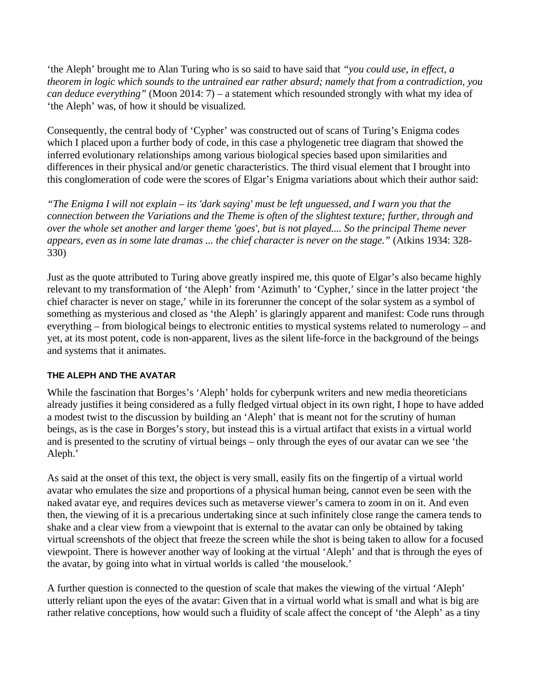'the Aleph' brought me to Alan Turing who is so said to have said that *"you could use, in effect, a theorem in logic which sounds to the untrained ear rather absurd; namely that from a contradiction, you can deduce everything"* (Moon 2014: 7) – a statement which resounded strongly with what my idea of 'the Aleph' was, of how it should be visualized.

Consequently, the central body of 'Cypher' was constructed out of scans of Turing's Enigma codes which I placed upon a further body of code, in this case a phylogenetic tree diagram that showed the inferred evolutionary relationships among various biological species based upon similarities and differences in their physical and/or genetic characteristics. The third visual element that I brought into this conglomeration of code were the scores of Elgar's Enigma variations about which their author said:

*"The Enigma I will not explain – its 'dark saying' must be left unguessed, and I warn you that the connection between the Variations and the Theme is often of the slightest texture; further, through and over the whole set another and larger theme 'goes', but is not played.... So the principal Theme never appears, even as in some late dramas ... the chief character is never on the stage."* (Atkins 1934: 328- 330)

Just as the quote attributed to Turing above greatly inspired me, this quote of Elgar's also became highly relevant to my transformation of 'the Aleph' from 'Azimuth' to 'Cypher,' since in the latter project 'the chief character is never on stage,' while in its forerunner the concept of the solar system as a symbol of something as mysterious and closed as 'the Aleph' is glaringly apparent and manifest: Code runs through everything – from biological beings to electronic entities to mystical systems related to numerology – and yet, at its most potent, code is non-apparent, lives as the silent life-force in the background of the beings and systems that it animates.

## **THE ALEPH AND THE AVATAR**

While the fascination that Borges's 'Aleph' holds for cyberpunk writers and new media theoreticians already justifies it being considered as a fully fledged virtual object in its own right, I hope to have added a modest twist to the discussion by building an 'Aleph' that is meant not for the scrutiny of human beings, as is the case in Borges's story, but instead this is a virtual artifact that exists in a virtual world and is presented to the scrutiny of virtual beings – only through the eyes of our avatar can we see 'the Aleph.'

As said at the onset of this text, the object is very small, easily fits on the fingertip of a virtual world avatar who emulates the size and proportions of a physical human being, cannot even be seen with the naked avatar eye, and requires devices such as metaverse viewer's camera to zoom in on it. And even then, the viewing of it is a precarious undertaking since at such infinitely close range the camera tends to shake and a clear view from a viewpoint that is external to the avatar can only be obtained by taking virtual screenshots of the object that freeze the screen while the shot is being taken to allow for a focused viewpoint. There is however another way of looking at the virtual 'Aleph' and that is through the eyes of the avatar, by going into what in virtual worlds is called 'the mouselook.'

A further question is connected to the question of scale that makes the viewing of the virtual 'Aleph' utterly reliant upon the eyes of the avatar: Given that in a virtual world what is small and what is big are rather relative conceptions, how would such a fluidity of scale affect the concept of 'the Aleph' as a tiny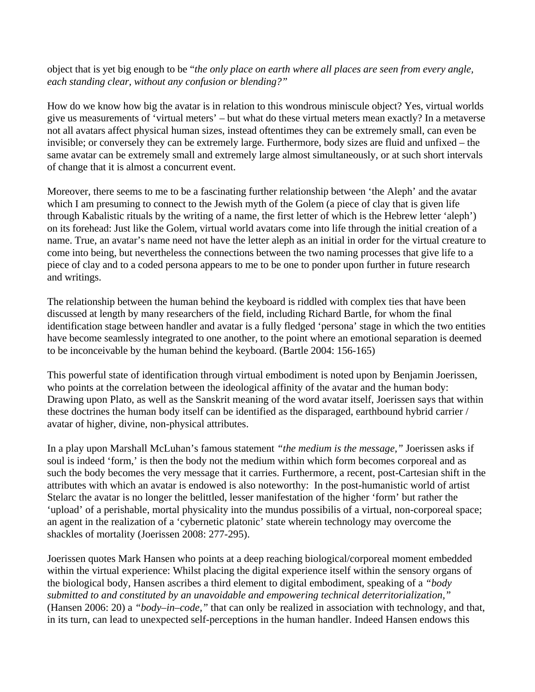object that is yet big enough to be "*the only place on earth where all places are seen from every angle, each standing clear, without any confusion or blending?"*

How do we know how big the avatar is in relation to this wondrous miniscule object? Yes, virtual worlds give us measurements of 'virtual meters' – but what do these virtual meters mean exactly? In a metaverse not all avatars affect physical human sizes, instead oftentimes they can be extremely small, can even be invisible; or conversely they can be extremely large. Furthermore, body sizes are fluid and unfixed – the same avatar can be extremely small and extremely large almost simultaneously, or at such short intervals of change that it is almost a concurrent event.

Moreover, there seems to me to be a fascinating further relationship between 'the Aleph' and the avatar which I am presuming to connect to the Jewish myth of the Golem (a piece of clay that is given life through Kabalistic rituals by the writing of a name, the first letter of which is the Hebrew letter 'aleph') on its forehead: Just like the Golem, virtual world avatars come into life through the initial creation of a name. True, an avatar's name need not have the letter aleph as an initial in order for the virtual creature to come into being, but nevertheless the connections between the two naming processes that give life to a piece of clay and to a coded persona appears to me to be one to ponder upon further in future research and writings.

The relationship between the human behind the keyboard is riddled with complex ties that have been discussed at length by many researchers of the field, including Richard Bartle, for whom the final identification stage between handler and avatar is a fully fledged 'persona' stage in which the two entities have become seamlessly integrated to one another, to the point where an emotional separation is deemed to be inconceivable by the human behind the keyboard. (Bartle 2004: 156-165)

This powerful state of identification through virtual embodiment is noted upon by Benjamin Joerissen, who points at the correlation between the ideological affinity of the avatar and the human body: Drawing upon Plato, as well as the Sanskrit meaning of the word avatar itself, Joerissen says that within these doctrines the human body itself can be identified as the disparaged, earthbound hybrid carrier / avatar of higher, divine, non-physical attributes.

In a play upon Marshall McLuhan's famous statement *"the medium is the message,"* Joerissen asks if soul is indeed 'form,' is then the body not the medium within which form becomes corporeal and as such the body becomes the very message that it carries. Furthermore, a recent, post-Cartesian shift in the attributes with which an avatar is endowed is also noteworthy: In the post-humanistic world of artist Stelarc the avatar is no longer the belittled, lesser manifestation of the higher 'form' but rather the 'upload' of a perishable, mortal physicality into the mundus possibilis of a virtual, non-corporeal space; an agent in the realization of a 'cybernetic platonic' state wherein technology may overcome the shackles of mortality (Joerissen 2008: 277-295).

Joerissen quotes Mark Hansen who points at a deep reaching biological/corporeal moment embedded within the virtual experience: Whilst placing the digital experience itself within the sensory organs of the biological body, Hansen ascribes a third element to digital embodiment, speaking of a *"body submitted to and constituted by an unavoidable and empowering technical deterritorialization,"* (Hansen 2006: 20) a *"body–in–code,"* that can only be realized in association with technology, and that, in its turn, can lead to unexpected self-perceptions in the human handler. Indeed Hansen endows this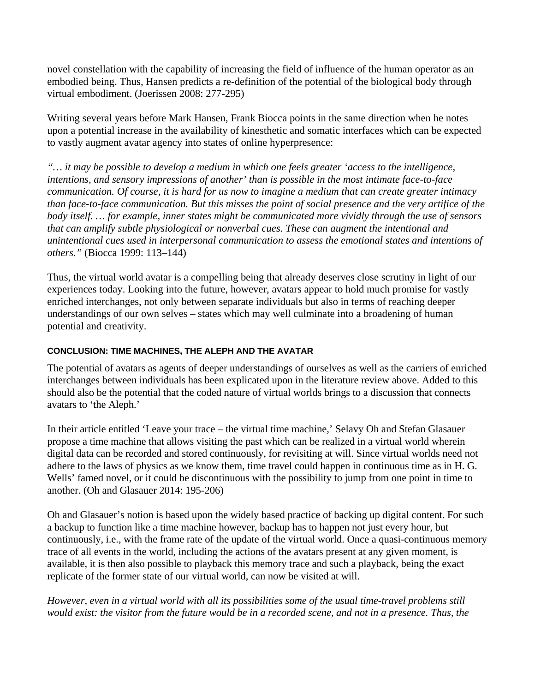novel constellation with the capability of increasing the field of influence of the human operator as an embodied being. Thus, Hansen predicts a re-definition of the potential of the biological body through virtual embodiment. (Joerissen 2008: 277-295)

Writing several years before Mark Hansen, Frank Biocca points in the same direction when he notes upon a potential increase in the availability of kinesthetic and somatic interfaces which can be expected to vastly augment avatar agency into states of online hyperpresence:

*"… it may be possible to develop a medium in which one feels greater 'access to the intelligence, intentions, and sensory impressions of another' than is possible in the most intimate face-to-face communication. Of course, it is hard for us now to imagine a medium that can create greater intimacy than face-to-face communication. But this misses the point of social presence and the very artifice of the body itself. … for example, inner states might be communicated more vividly through the use of sensors that can amplify subtle physiological or nonverbal cues. These can augment the intentional and unintentional cues used in interpersonal communication to assess the emotional states and intentions of others."* (Biocca 1999: 113–144)

Thus, the virtual world avatar is a compelling being that already deserves close scrutiny in light of our experiences today. Looking into the future, however, avatars appear to hold much promise for vastly enriched interchanges, not only between separate individuals but also in terms of reaching deeper understandings of our own selves – states which may well culminate into a broadening of human potential and creativity.

# **CONCLUSION: TIME MACHINES, THE ALEPH AND THE AVATAR**

The potential of avatars as agents of deeper understandings of ourselves as well as the carriers of enriched interchanges between individuals has been explicated upon in the literature review above. Added to this should also be the potential that the coded nature of virtual worlds brings to a discussion that connects avatars to 'the Aleph.'

In their article entitled 'Leave your trace – the virtual time machine,' Selavy Oh and Stefan Glasauer propose a time machine that allows visiting the past which can be realized in a virtual world wherein digital data can be recorded and stored continuously, for revisiting at will. Since virtual worlds need not adhere to the laws of physics as we know them, time travel could happen in continuous time as in H. G. Wells' famed novel, or it could be discontinuous with the possibility to jump from one point in time to another. (Oh and Glasauer 2014: 195-206)

Oh and Glasauer's notion is based upon the widely based practice of backing up digital content. For such a backup to function like a time machine however, backup has to happen not just every hour, but continuously, i.e., with the frame rate of the update of the virtual world. Once a quasi-continuous memory trace of all events in the world, including the actions of the avatars present at any given moment, is available, it is then also possible to playback this memory trace and such a playback, being the exact replicate of the former state of our virtual world, can now be visited at will.

*However, even in a virtual world with all its possibilities some of the usual time-travel problems still would exist: the visitor from the future would be in a recorded scene, and not in a presence. Thus, the*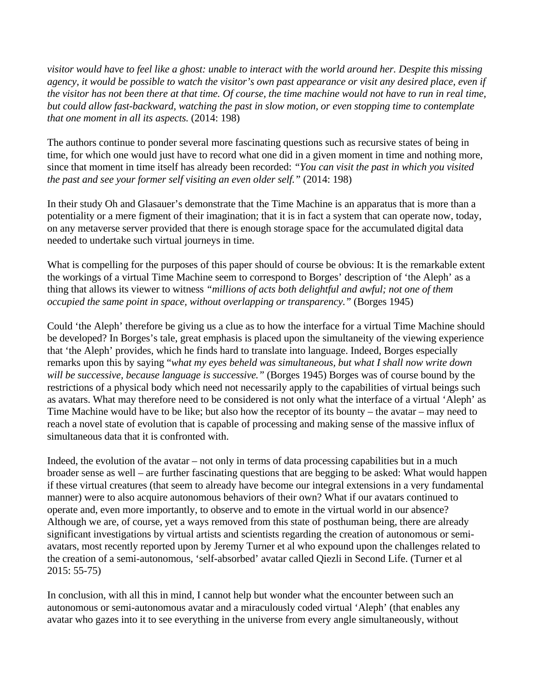*visitor would have to feel like a ghost: unable to interact with the world around her. Despite this missing agency, it would be possible to watch the visitor's own past appearance or visit any desired place, even if the visitor has not been there at that time. Of course, the time machine would not have to run in real time, but could allow fast-backward, watching the past in slow motion, or even stopping time to contemplate that one moment in all its aspects.* (2014: 198)

The authors continue to ponder several more fascinating questions such as recursive states of being in time, for which one would just have to record what one did in a given moment in time and nothing more, since that moment in time itself has already been recorded: *"You can visit the past in which you visited the past and see your former self visiting an even older self."* (2014: 198)

In their study Oh and Glasauer's demonstrate that the Time Machine is an apparatus that is more than a potentiality or a mere figment of their imagination; that it is in fact a system that can operate now, today, on any metaverse server provided that there is enough storage space for the accumulated digital data needed to undertake such virtual journeys in time.

What is compelling for the purposes of this paper should of course be obvious: It is the remarkable extent the workings of a virtual Time Machine seem to correspond to Borges' description of 'the Aleph' as a thing that allows its viewer to witness *"millions of acts both delightful and awful; not one of them occupied the same point in space, without overlapping or transparency.*" (Borges 1945)

Could 'the Aleph' therefore be giving us a clue as to how the interface for a virtual Time Machine should be developed? In Borges's tale, great emphasis is placed upon the simultaneity of the viewing experience that 'the Aleph' provides, which he finds hard to translate into language. Indeed, Borges especially remarks upon this by saying "*what my eyes beheld was simultaneous, but what I shall now write down will be successive, because language is successive."* (Borges 1945) Borges was of course bound by the restrictions of a physical body which need not necessarily apply to the capabilities of virtual beings such as avatars. What may therefore need to be considered is not only what the interface of a virtual 'Aleph' as Time Machine would have to be like; but also how the receptor of its bounty – the avatar – may need to reach a novel state of evolution that is capable of processing and making sense of the massive influx of simultaneous data that it is confronted with.

Indeed, the evolution of the avatar – not only in terms of data processing capabilities but in a much broader sense as well – are further fascinating questions that are begging to be asked: What would happen if these virtual creatures (that seem to already have become our integral extensions in a very fundamental manner) were to also acquire autonomous behaviors of their own? What if our avatars continued to operate and, even more importantly, to observe and to emote in the virtual world in our absence? Although we are, of course, yet a ways removed from this state of posthuman being, there are already significant investigations by virtual artists and scientists regarding the creation of autonomous or semiavatars, most recently reported upon by Jeremy Turner et al who expound upon the challenges related to the creation of a semi-autonomous, 'self-absorbed' avatar called Qiezli in Second Life. (Turner et al 2015: 55-75)

In conclusion, with all this in mind, I cannot help but wonder what the encounter between such an autonomous or semi-autonomous avatar and a miraculously coded virtual 'Aleph' (that enables any avatar who gazes into it to see everything in the universe from every angle simultaneously, without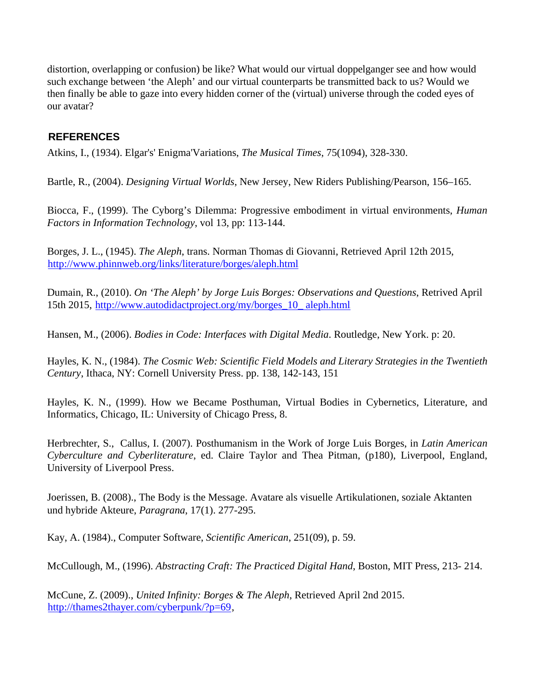distortion, overlapping or confusion) be like? What would our virtual doppelganger see and how would such exchange between 'the Aleph' and our virtual counterparts be transmitted back to us? Would we then finally be able to gaze into every hidden corner of the (virtual) universe through the coded eyes of our avatar?

# 0B**REFERENCES**

Atkins, I., (1934). Elgar's' Enigma'Variations, *The Musical Times*, 75(1094), 328-330.

Bartle, R., (2004). *Designing Virtual Worlds*, New Jersey, New Riders Publishing/Pearson, 156–165.

Biocca, F., (1999). The Cyborg's Dilemma: Progressive embodiment in virtual environments, *Human Factors in Information Technology*, vol 13, pp: 113-144.

Borges, J. L., (1945). *The Aleph*, trans. Norman Thomas di Giovanni, Retrieved April 12th 2015, http://www.phinnweb.org/links/literature/borges/aleph.html

Dumain, R., (2010). *On 'The Aleph' by Jorge Luis Borges: Observations and Questions*, Retrived April 15th 2015, http://www.autodidactproject.org/my/borges\_10\_ aleph.html

Hansen, M., (2006). *Bodies in Code: Interfaces with Digital Media*. Routledge, New York. p: 20.

Hayles, K. N., (1984). *The Cosmic Web: Scientific Field Models and Literary Strategies in the Twentieth Century*, Ithaca, NY: Cornell University Press. pp. 138, 142-143, 151

Hayles, K. N., (1999). How we Became Posthuman, Virtual Bodies in Cybernetics, Literature, and Informatics, Chicago, IL: University of Chicago Press, 8.

Herbrechter, S., Callus, I. (2007). Posthumanism in the Work of Jorge Luis Borges, in *Latin American Cyberculture and Cyberliterature*, ed. Claire Taylor and Thea Pitman, (p180), Liverpool, England, University of Liverpool Press.

Joerissen, B. (2008)., The Body is the Message. Avatare als visuelle Artikulationen, soziale Aktanten und hybride Akteure, *Paragrana*, 17(1). 277-295.

Kay, A. (1984)., Computer Software, *Scientific American*, 251(09), p. 59.

McCullough, M., (1996). *Abstracting Craft: The Practiced Digital Hand*, Boston, MIT Press, 213- 214.

McCune, Z. (2009)., *United Infinity: Borges & The Aleph*, Retrieved April 2nd 2015. http://thames2thayer.com/cyberpunk/?p=69,